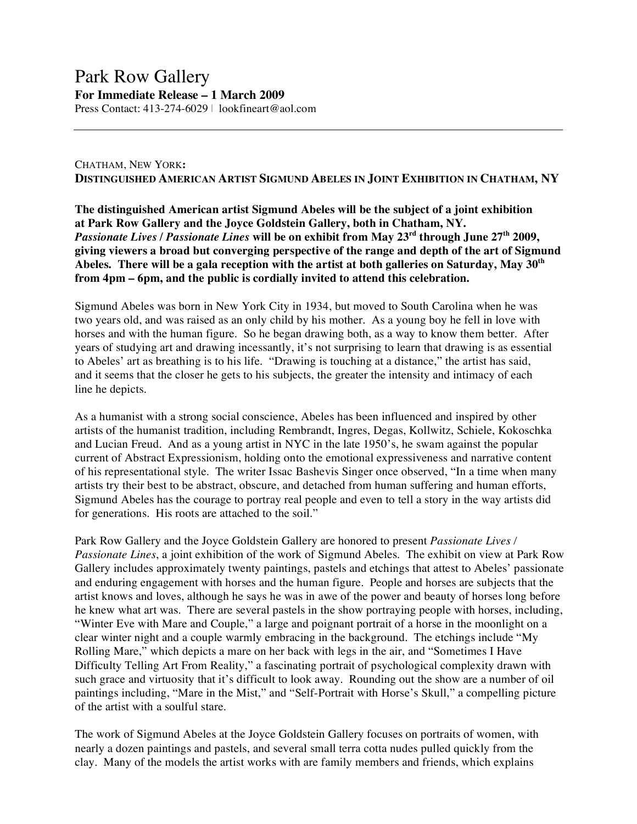## Park Row Gallery **For Immediate Release – 1 March 2009**

Press Contact: 413-274-6029 | lookfineart@aol.com

## CHATHAM, NEW YORK**: DISTINGUISHED AMERICAN ARTIST SIGMUND ABELES IN JOINT EXHIBITION IN CHATHAM, NY**

**The distinguished American artist Sigmund Abeles will be the subject of a joint exhibition at Park Row Gallery and the Joyce Goldstein Gallery, both in Chatham, NY.** *Passionate Lives / Passionate Lines* **will be on exhibit from May 23rd through June 27th 2009, giving viewers a broad but converging perspective of the range and depth of the art of Sigmund Abeles. There will be a gala reception with the artist at both galleries on Saturday, May 30th from 4pm – 6pm, and the public is cordially invited to attend this celebration.**

Sigmund Abeles was born in New York City in 1934, but moved to South Carolina when he was two years old, and was raised as an only child by his mother. As a young boy he fell in love with horses and with the human figure. So he began drawing both, as a way to know them better. After years of studying art and drawing incessantly, it's not surprising to learn that drawing is as essential to Abeles' art as breathing is to his life. "Drawing is touching at a distance," the artist has said, and it seems that the closer he gets to his subjects, the greater the intensity and intimacy of each line he depicts.

As a humanist with a strong social conscience, Abeles has been influenced and inspired by other artists of the humanist tradition, including Rembrandt, Ingres, Degas, Kollwitz, Schiele, Kokoschka and Lucian Freud. And as a young artist in NYC in the late 1950's, he swam against the popular current of Abstract Expressionism, holding onto the emotional expressiveness and narrative content of his representational style. The writer Issac Bashevis Singer once observed, "In a time when many artists try their best to be abstract, obscure, and detached from human suffering and human efforts, Sigmund Abeles has the courage to portray real people and even to tell a story in the way artists did for generations. His roots are attached to the soil."

Park Row Gallery and the Joyce Goldstein Gallery are honored to present *Passionate Lives / Passionate Lines*, a joint exhibition of the work of Sigmund Abeles. The exhibit on view at Park Row Gallery includes approximately twenty paintings, pastels and etchings that attest to Abeles' passionate and enduring engagement with horses and the human figure. People and horses are subjects that the artist knows and loves, although he says he was in awe of the power and beauty of horses long before he knew what art was. There are several pastels in the show portraying people with horses, including, "Winter Eve with Mare and Couple," a large and poignant portrait of a horse in the moonlight on a clear winter night and a couple warmly embracing in the background. The etchings include "My Rolling Mare," which depicts a mare on her back with legs in the air, and "Sometimes I Have Difficulty Telling Art From Reality," a fascinating portrait of psychological complexity drawn with such grace and virtuosity that it's difficult to look away. Rounding out the show are a number of oil paintings including, "Mare in the Mist," and "Self-Portrait with Horse's Skull," a compelling picture of the artist with a soulful stare.

The work of Sigmund Abeles at the Joyce Goldstein Gallery focuses on portraits of women, with nearly a dozen paintings and pastels, and several small terra cotta nudes pulled quickly from the clay. Many of the models the artist works with are family members and friends, which explains